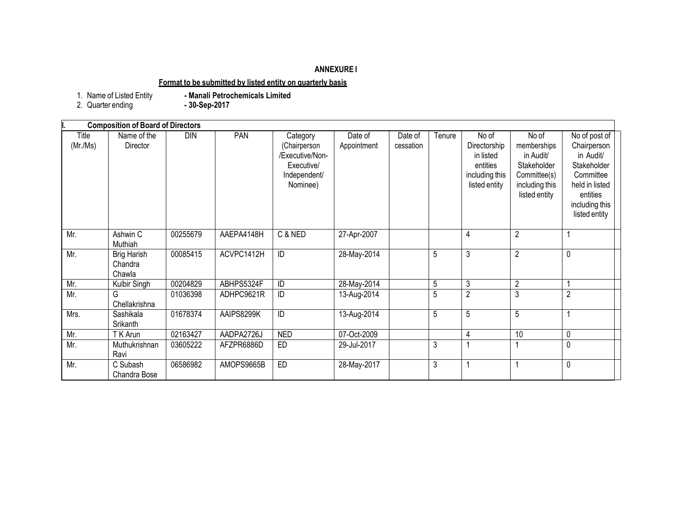# **ANNEXURE I**

# **Format to be submitted by listed entity on quarterly basis**

1. Name of Listed Entity<br>2. Quarter ending

- Manali Petrochemicals Limited<br>- 30-Sep-2017

|                  | <b>Composition of Board of Directors</b> |          |            |                                                                                       |                        |                      |        |                                                                                   |                                                                                                     |                                                                                                                                        |
|------------------|------------------------------------------|----------|------------|---------------------------------------------------------------------------------------|------------------------|----------------------|--------|-----------------------------------------------------------------------------------|-----------------------------------------------------------------------------------------------------|----------------------------------------------------------------------------------------------------------------------------------------|
| Title<br>(Mr/Ms) | Name of the<br>Director                  | DIN      | PAN        | Category<br>(Chairperson<br>/Executive/Non-<br>Executive/<br>Independent/<br>Nominee) | Date of<br>Appointment | Date of<br>cessation | Tenure | No of<br>Directorship<br>in listed<br>entities<br>including this<br>listed entity | No of<br>memberships<br>in Audit/<br>Stakeholder<br>Committee(s)<br>including this<br>listed entity | No of post of<br>Chairperson<br>in Audit/<br>Stakeholder<br>Committee<br>held in listed<br>entities<br>including this<br>listed entity |
| Mr.              | Ashwin C<br>Muthiah                      | 00255679 | AAEPA4148H | C & NED                                                                               | 27-Apr-2007            |                      |        | 4                                                                                 | $\overline{2}$                                                                                      |                                                                                                                                        |
| Mr.              | <b>Brig Harish</b><br>Chandra<br>Chawla  | 00085415 | ACVPC1412H | ID                                                                                    | 28-May-2014            |                      | 5      | 3                                                                                 | $\overline{2}$                                                                                      | 0                                                                                                                                      |
| Mr.              | Kulbir Singh                             | 00204829 | ABHPS5324F | ID                                                                                    | 28-May-2014            |                      | 5      | 3                                                                                 | $\overline{2}$                                                                                      |                                                                                                                                        |
| Mr.              | G<br>Chellakrishna                       | 01036398 | ADHPC9621R | ID                                                                                    | 13-Aug-2014            |                      | 5      | $\overline{2}$                                                                    | 3                                                                                                   | $\overline{2}$                                                                                                                         |
| Mrs.             | Sashikala<br>Srikanth                    | 01678374 | AAIPS8299K | ID                                                                                    | 13-Aug-2014            |                      | 5      | 5                                                                                 | 5                                                                                                   |                                                                                                                                        |
| Mr.              | T K Arun                                 | 02163427 | AADPA2726J | <b>NED</b>                                                                            | 07-Oct-2009            |                      |        | 4                                                                                 | 10                                                                                                  | 0                                                                                                                                      |
| Mr.              | Muthukrishnan<br>Ravi                    | 03605222 | AFZPR6886D | <b>ED</b>                                                                             | 29-Jul-2017            |                      | 3      |                                                                                   |                                                                                                     | 0                                                                                                                                      |
| Mr.              | C Subash<br>Chandra Bose                 | 06586982 | AMOPS9665B | ED                                                                                    | 28-May-2017            |                      | 3      | 1                                                                                 |                                                                                                     | $\pmb{0}$                                                                                                                              |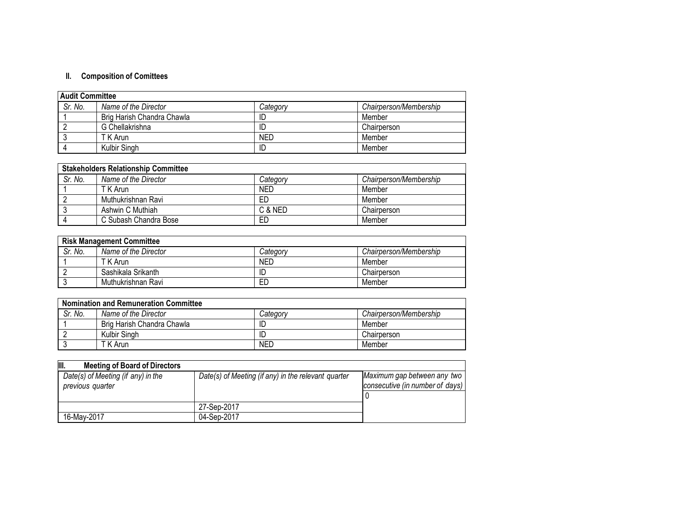# **II. Composition of Comittees**

| <b>Audit Committee</b> |                            |          |                        |  |
|------------------------|----------------------------|----------|------------------------|--|
| Sr. No.                | Name of the Director       | Category | Chairperson/Membership |  |
|                        | Brig Harish Chandra Chawla | ID       | Member                 |  |
|                        | G Chellakrishna            | ID       | Chairperson            |  |
|                        | T K Arun                   | NED      | Member                 |  |
|                        | Kulbir Singh               | ID       | Member                 |  |

| <b>Stakeholders Relationship Committee</b> |                       |            |                        |  |
|--------------------------------------------|-----------------------|------------|------------------------|--|
| Sr. No.                                    | Name of the Director  | Category   | Chairperson/Membership |  |
|                                            | T K Arun              | <b>NED</b> | Member                 |  |
|                                            | Muthukrishnan Ravi    | ED         | Member                 |  |
|                                            | Ashwin C Muthiah      | C & NED    | Chairperson            |  |
|                                            | C Subash Chandra Bose | ED         | Member                 |  |

| <b>Risk Management Committee</b> |                      |            |                        |  |  |
|----------------------------------|----------------------|------------|------------------------|--|--|
| Sr. No.                          | Name of the Director | Category   | Chairperson/Membership |  |  |
|                                  | T K Arun             | <b>NED</b> | Member                 |  |  |
|                                  | Sashikala Srikanth   |            | Chairperson            |  |  |
|                                  | Muthukrishnan Ravi   | ED         | Member                 |  |  |

| <b>Nomination and Remuneration Committee</b> |                            |            |                        |  |  |
|----------------------------------------------|----------------------------|------------|------------------------|--|--|
| Sr. No.                                      | Name of the Director       | Categorv   | Chairperson/Membership |  |  |
|                                              | Brig Harish Chandra Chawla | ID         | Member                 |  |  |
|                                              | Kulbir Singh               | ID         | Chairperson            |  |  |
|                                              | T K Arun                   | <b>NED</b> | Member                 |  |  |

| III.<br><b>Meeting of Board of Directors</b>           |                                                     |                                                                |  |
|--------------------------------------------------------|-----------------------------------------------------|----------------------------------------------------------------|--|
| Date(s) of Meeting (if any) in the<br>previous quarter | Date(s) of Meeting (if any) in the relevant quarter | Maximum gap between any two<br>consecutive (in number of days) |  |
|                                                        | 27-Sep-2017                                         |                                                                |  |
| 16-May-2017                                            | 04-Sep-2017                                         |                                                                |  |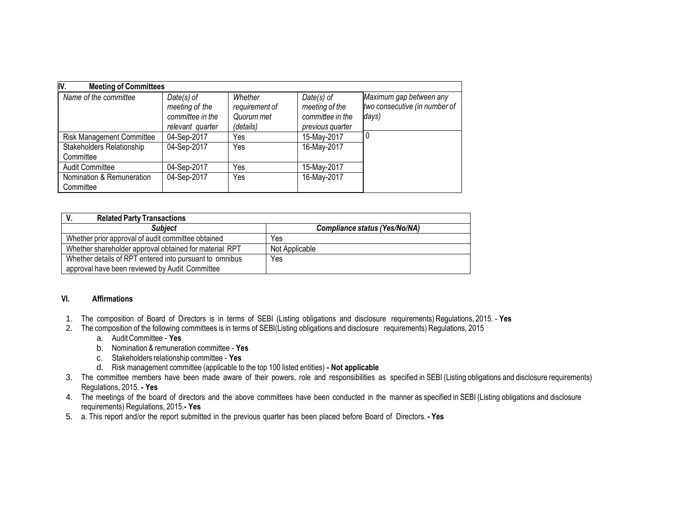| IV.<br><b>Meeting of Committees</b>    |                                                                        |                                                      |                                                                        |                                                                   |
|----------------------------------------|------------------------------------------------------------------------|------------------------------------------------------|------------------------------------------------------------------------|-------------------------------------------------------------------|
| Name of the committee                  | $Date(s)$ of<br>meeting of the<br>committee in the<br>relevant quarter | Whether<br>requirement of<br>Quorum met<br>(details) | $Date(s)$ of<br>meeting of the<br>committee in the<br>previous quarter | Maximum gap between any<br>two consecutive (in number of<br>days) |
| <b>Risk Management Committee</b>       | 04-Sep-2017                                                            | Yes                                                  | 15-May-2017                                                            |                                                                   |
| Stakeholders Relationship<br>Committee | 04-Sep-2017                                                            | Yes                                                  | 16-May-2017                                                            |                                                                   |
| Audit Committee                        | 04-Sep-2017                                                            | Yes                                                  | 15-May-2017                                                            |                                                                   |
| Nomination & Remuneration<br>Committee | 04-Sep-2017                                                            | Yes                                                  | 16-May-2017                                                            |                                                                   |

| <b>Related Party Transactions</b>                       |                               |
|---------------------------------------------------------|-------------------------------|
| <b>Subject</b>                                          | Compliance status (Yes/No/NA) |
| Whether prior approval of audit committee obtained      | Yes                           |
| Whether shareholder approval obtained for material RPT  | Not Applicable                |
| Whether details of RPT entered into pursuant to omnibus | Yes                           |
| approval have been reviewed by Audit Committee          |                               |

#### **VI. Affirmations**

- 1. The composition of Board of Directors is in terms of SEBI (Listing obligations and disclosure requirements) Regulations, 2015. **Yes**
- 2. The composition of the following committees is in terms of SEBI(Listing obligations and disclosure requirements) Regulations, 2015
	- a. AuditCommittee **Yes**
	- b. Nomination & remuneration committee **Yes**
	- c. Stakeholders relationship committee **Yes**
	- d. Risk management committee (applicable to the top 100 listed entities) **- Not applicable**
- 3. The committee members have been made aware of their powers, role and responsibilities as specified in SEBI (Listing obligations and disclosure requirements) Regulations, 2015. **- Yes**
- 4. The meetings of the board of directors and the above committees have been conducted in the manner as specified in SEBI (Listing obligations and disclosure requirements) Regulations, 2015.**- Yes**
- 5. a. This report and/or the report submitted in the previous quarter has been placed before Board of Directors. **- Yes**